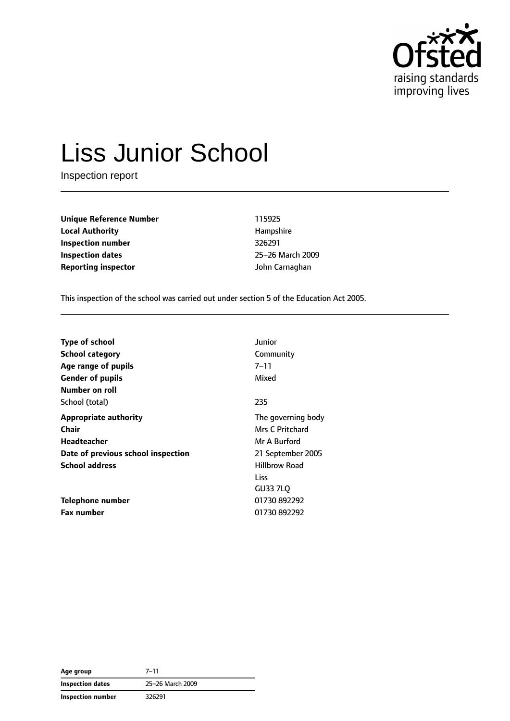

# Liss Junior School

Inspection report

**Unique Reference Number** 115925 **Local Authority Hampshire Inspection number** 326291 **Inspection dates** 25–26 March 2009 **Reporting inspector Community Community** *John Carnaghan* 

This inspection of the school was carried out under section 5 of the Education Act 2005.

| <b>Type of school</b>              | Junior               |
|------------------------------------|----------------------|
| <b>School category</b>             | Community            |
| Age range of pupils                | $7 - 11$             |
| <b>Gender of pupils</b>            | Mixed                |
| Number on roll                     |                      |
| School (total)                     | 235                  |
| <b>Appropriate authority</b>       | The governing body   |
| Chair                              | Mrs C Pritchard      |
| <b>Headteacher</b>                 | Mr A Burford         |
| Date of previous school inspection | 21 September 2005    |
| <b>School address</b>              | <b>Hillbrow Road</b> |
|                                    | Liss                 |
|                                    | GU33 7LO             |
| Telephone number                   | 01730 892292         |
| <b>Fax number</b>                  | 01730 892292         |

| Age group                | $7 - 11$         |
|--------------------------|------------------|
| <b>Inspection dates</b>  | 25-26 March 2009 |
| <b>Inspection number</b> | 326291           |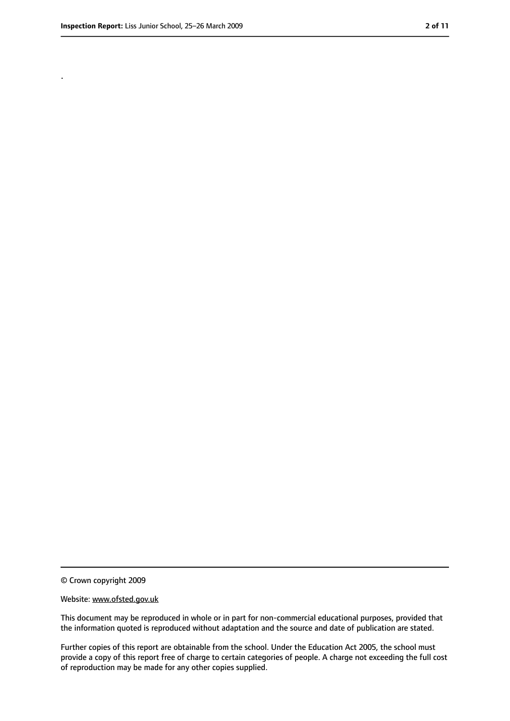.

<sup>©</sup> Crown copyright 2009

Website: www.ofsted.gov.uk

This document may be reproduced in whole or in part for non-commercial educational purposes, provided that the information quoted is reproduced without adaptation and the source and date of publication are stated.

Further copies of this report are obtainable from the school. Under the Education Act 2005, the school must provide a copy of this report free of charge to certain categories of people. A charge not exceeding the full cost of reproduction may be made for any other copies supplied.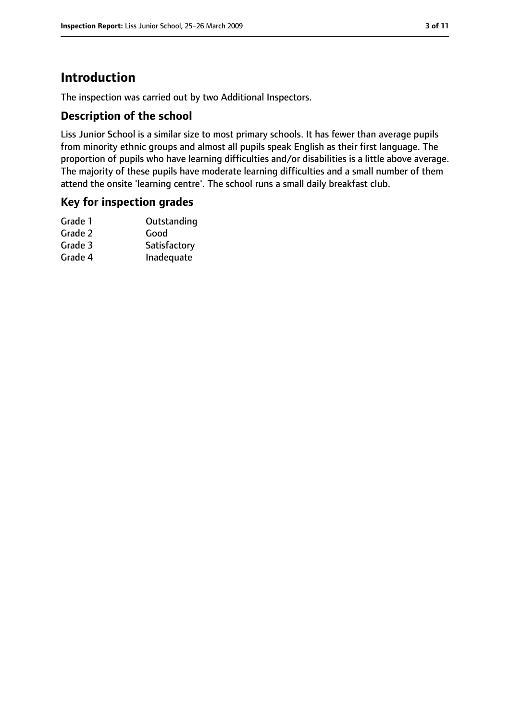### **Introduction**

The inspection was carried out by two Additional Inspectors.

#### **Description of the school**

Liss Junior School is a similar size to most primary schools. It has fewer than average pupils from minority ethnic groups and almost all pupils speak English as their first language. The proportion of pupils who have learning difficulties and/or disabilities is a little above average. The majority of these pupils have moderate learning difficulties and a small number of them attend the onsite 'learning centre'. The school runs a small daily breakfast club.

#### **Key for inspection grades**

| Outstanding  |
|--------------|
| Good         |
| Satisfactory |
| Inadequate   |
|              |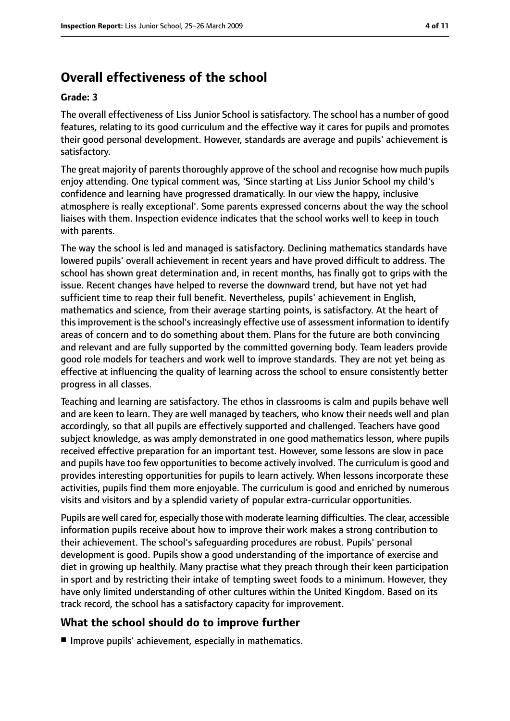## **Overall effectiveness of the school**

#### **Grade: 3**

The overall effectiveness of Liss Junior School is satisfactory. The school has a number of good features, relating to its good curriculum and the effective way it cares for pupils and promotes their good personal development. However, standards are average and pupils' achievement is satisfactory.

The great majority of parents thoroughly approve of the school and recognise how much pupils enjoy attending. One typical comment was, 'Since starting at Liss Junior School my child's confidence and learning have progressed dramatically. In our view the happy, inclusive atmosphere is really exceptional'. Some parents expressed concerns about the way the school liaises with them. Inspection evidence indicates that the school works well to keep in touch with parents.

The way the school is led and managed is satisfactory. Declining mathematics standards have lowered pupils' overall achievement in recent years and have proved difficult to address. The school has shown great determination and, in recent months, has finally got to grips with the issue. Recent changes have helped to reverse the downward trend, but have not yet had sufficient time to reap their full benefit. Nevertheless, pupils' achievement in English, mathematics and science, from their average starting points, is satisfactory. At the heart of this improvement is the school's increasingly effective use of assessment information to identify areas of concern and to do something about them. Plans for the future are both convincing and relevant and are fully supported by the committed governing body. Team leaders provide good role models for teachers and work well to improve standards. They are not yet being as effective at influencing the quality of learning across the school to ensure consistently better progress in all classes.

Teaching and learning are satisfactory. The ethos in classrooms is calm and pupils behave well and are keen to learn. They are well managed by teachers, who know their needs well and plan accordingly, so that all pupils are effectively supported and challenged. Teachers have good subject knowledge, as was amply demonstrated in one good mathematics lesson, where pupils received effective preparation for an important test. However, some lessons are slow in pace and pupils have too few opportunities to become actively involved. The curriculum is good and provides interesting opportunities for pupils to learn actively. When lessons incorporate these activities, pupils find them more enjoyable. The curriculum is good and enriched by numerous visits and visitors and by a splendid variety of popular extra-curricular opportunities.

Pupils are well cared for, especially those with moderate learning difficulties. The clear, accessible information pupils receive about how to improve their work makes a strong contribution to their achievement. The school's safeguarding procedures are robust. Pupils' personal development is good. Pupils show a good understanding of the importance of exercise and diet in growing up healthily. Many practise what they preach through their keen participation in sport and by restricting their intake of tempting sweet foods to a minimum. However, they have only limited understanding of other cultures within the United Kingdom. Based on its track record, the school has a satisfactory capacity for improvement.

#### **What the school should do to improve further**

■ Improve pupils' achievement, especially in mathematics.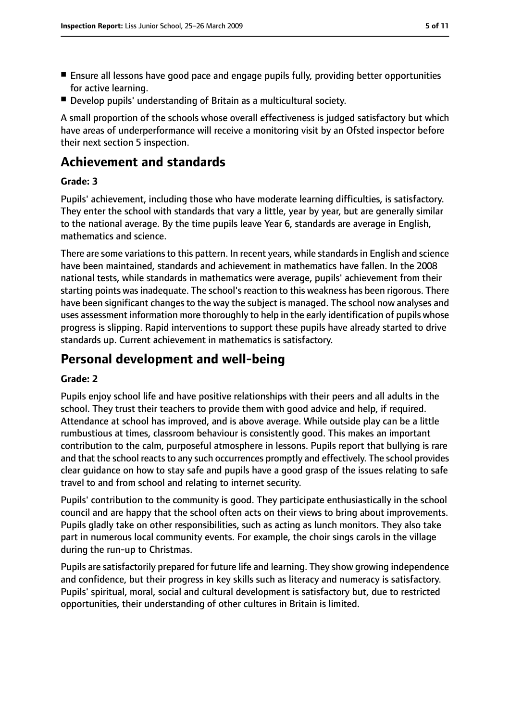- Ensure all lessons have good pace and engage pupils fully, providing better opportunities for active learning.
- Develop pupils' understanding of Britain as a multicultural society.

A small proportion of the schools whose overall effectiveness is judged satisfactory but which have areas of underperformance will receive a monitoring visit by an Ofsted inspector before their next section 5 inspection.

### **Achievement and standards**

#### **Grade: 3**

Pupils' achievement, including those who have moderate learning difficulties, is satisfactory. They enter the school with standards that vary a little, year by year, but are generally similar to the national average. By the time pupils leave Year 6, standards are average in English, mathematics and science.

There are some variations to this pattern. In recent years, while standards in English and science have been maintained, standards and achievement in mathematics have fallen. In the 2008 national tests, while standards in mathematics were average, pupils' achievement from their starting points was inadequate. The school's reaction to this weakness has been rigorous. There have been significant changes to the way the subject is managed. The school now analyses and uses assessment information more thoroughly to help in the early identification of pupils whose progress is slipping. Rapid interventions to support these pupils have already started to drive standards up. Current achievement in mathematics is satisfactory.

### **Personal development and well-being**

#### **Grade: 2**

Pupils enjoy school life and have positive relationships with their peers and all adults in the school. They trust their teachers to provide them with good advice and help, if required. Attendance at school has improved, and is above average. While outside play can be a little rumbustious at times, classroom behaviour is consistently good. This makes an important contribution to the calm, purposeful atmosphere in lessons. Pupils report that bullying is rare and that the school reacts to any such occurrences promptly and effectively. The school provides clear guidance on how to stay safe and pupils have a good grasp of the issues relating to safe travel to and from school and relating to internet security.

Pupils' contribution to the community is good. They participate enthusiastically in the school council and are happy that the school often acts on their views to bring about improvements. Pupils gladly take on other responsibilities, such as acting as lunch monitors. They also take part in numerous local community events. For example, the choir sings carols in the village during the run-up to Christmas.

Pupils are satisfactorily prepared for future life and learning. They show growing independence and confidence, but their progress in key skills such as literacy and numeracy is satisfactory. Pupils' spiritual, moral, social and cultural development is satisfactory but, due to restricted opportunities, their understanding of other cultures in Britain is limited.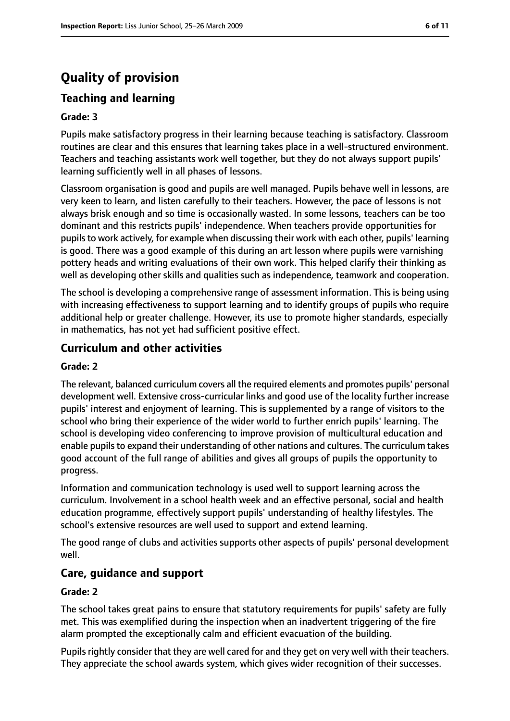## **Quality of provision**

#### **Teaching and learning**

#### **Grade: 3**

Pupils make satisfactory progress in their learning because teaching is satisfactory. Classroom routines are clear and this ensures that learning takes place in a well-structured environment. Teachers and teaching assistants work well together, but they do not always support pupils' learning sufficiently well in all phases of lessons.

Classroom organisation is good and pupils are well managed. Pupils behave well in lessons, are very keen to learn, and listen carefully to their teachers. However, the pace of lessons is not always brisk enough and so time is occasionally wasted. In some lessons, teachers can be too dominant and this restricts pupils' independence. When teachers provide opportunities for pupilsto work actively, for example when discussing their work with each other, pupils' learning is good. There was a good example of this during an art lesson where pupils were varnishing pottery heads and writing evaluations of their own work. This helped clarify their thinking as well as developing other skills and qualities such as independence, teamwork and cooperation.

The school is developing a comprehensive range of assessment information. This is being using with increasing effectiveness to support learning and to identify groups of pupils who require additional help or greater challenge. However, its use to promote higher standards, especially in mathematics, has not yet had sufficient positive effect.

#### **Curriculum and other activities**

#### **Grade: 2**

The relevant, balanced curriculum covers all the required elements and promotes pupils' personal development well. Extensive cross-curricular links and good use of the locality further increase pupils' interest and enjoyment of learning. This is supplemented by a range of visitors to the school who bring their experience of the wider world to further enrich pupils' learning. The school is developing video conferencing to improve provision of multicultural education and enable pupils to expand their understanding of other nations and cultures. The curriculum takes good account of the full range of abilities and gives all groups of pupils the opportunity to progress.

Information and communication technology is used well to support learning across the curriculum. Involvement in a school health week and an effective personal, social and health education programme, effectively support pupils' understanding of healthy lifestyles. The school's extensive resources are well used to support and extend learning.

The good range of clubs and activities supports other aspects of pupils' personal development well.

#### **Care, guidance and support**

#### **Grade: 2**

The school takes great pains to ensure that statutory requirements for pupils' safety are fully met. This was exemplified during the inspection when an inadvertent triggering of the fire alarm prompted the exceptionally calm and efficient evacuation of the building.

Pupils rightly consider that they are well cared for and they get on very well with their teachers. They appreciate the school awards system, which gives wider recognition of their successes.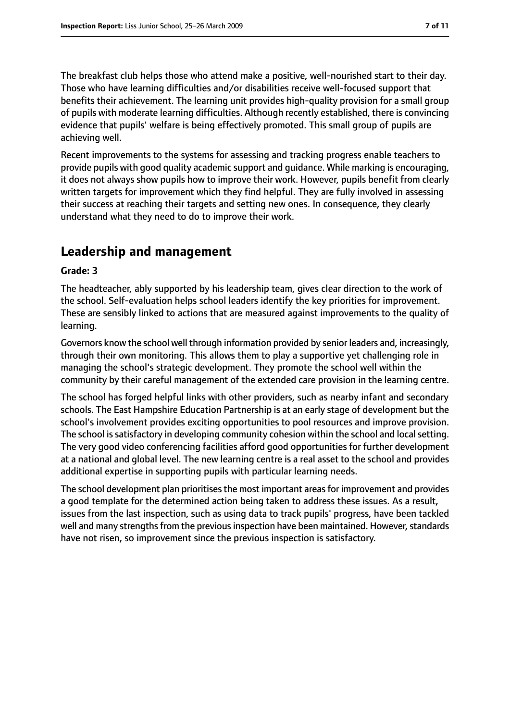The breakfast club helps those who attend make a positive, well-nourished start to their day. Those who have learning difficulties and/or disabilities receive well-focused support that benefits their achievement. The learning unit provides high-quality provision for a small group of pupils with moderate learning difficulties. Although recently established, there is convincing evidence that pupils' welfare is being effectively promoted. This small group of pupils are achieving well.

Recent improvements to the systems for assessing and tracking progress enable teachers to provide pupils with good quality academic support and guidance. While marking is encouraging, it does not always show pupils how to improve their work. However, pupils benefit from clearly written targets for improvement which they find helpful. They are fully involved in assessing their success at reaching their targets and setting new ones. In consequence, they clearly understand what they need to do to improve their work.

### **Leadership and management**

#### **Grade: 3**

The headteacher, ably supported by his leadership team, gives clear direction to the work of the school. Self-evaluation helps school leaders identify the key priorities for improvement. These are sensibly linked to actions that are measured against improvements to the quality of learning.

Governors know the school well through information provided by senior leaders and, increasingly, through their own monitoring. This allows them to play a supportive yet challenging role in managing the school's strategic development. They promote the school well within the community by their careful management of the extended care provision in the learning centre.

The school has forged helpful links with other providers, such as nearby infant and secondary schools. The East Hampshire Education Partnership is at an early stage of development but the school's involvement provides exciting opportunities to pool resources and improve provision. The school is satisfactory in developing community cohesion within the school and local setting. The very good video conferencing facilities afford good opportunities for further development at a national and global level. The new learning centre is a real asset to the school and provides additional expertise in supporting pupils with particular learning needs.

The school development plan prioritises the most important areas for improvement and provides a good template for the determined action being taken to address these issues. As a result, issues from the last inspection, such as using data to track pupils' progress, have been tackled well and many strengths from the previous inspection have been maintained. However, standards have not risen, so improvement since the previous inspection is satisfactory.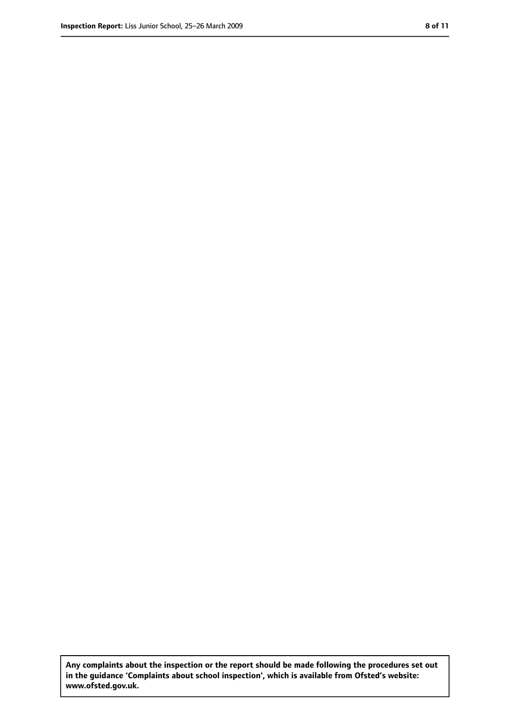**Any complaints about the inspection or the report should be made following the procedures set out in the guidance 'Complaints about school inspection', which is available from Ofsted's website: www.ofsted.gov.uk.**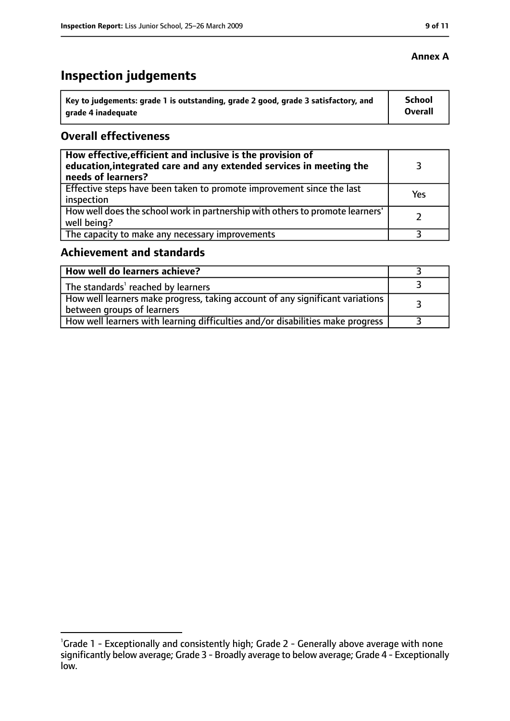## **Inspection judgements**

| ˈ Key to judgements: grade 1 is outstanding, grade 2 good, grade 3 satisfactory, and | <b>School</b>  |
|--------------------------------------------------------------------------------------|----------------|
| arade 4 inadequate                                                                   | <b>Overall</b> |

#### **Overall effectiveness**

| How effective, efficient and inclusive is the provision of<br>education, integrated care and any extended services in meeting the<br>needs of learners? |     |
|---------------------------------------------------------------------------------------------------------------------------------------------------------|-----|
| Effective steps have been taken to promote improvement since the last<br>inspection                                                                     | Yes |
| How well does the school work in partnership with others to promote learners'<br>well being?                                                            |     |
| The capacity to make any necessary improvements                                                                                                         |     |

#### **Achievement and standards**

| How well do learners achieve?                                                                               |  |
|-------------------------------------------------------------------------------------------------------------|--|
| $\perp$ The standards <sup>1</sup> reached by learners                                                      |  |
| How well learners make progress, taking account of any significant variations<br>between groups of learners |  |
| How well learners with learning difficulties and/or disabilities make progress                              |  |

#### **Annex A**

<sup>&</sup>lt;sup>1</sup>Grade 1 - Exceptionally and consistently high; Grade 2 - Generally above average with none significantly below average; Grade 3 - Broadly average to below average; Grade 4 - Exceptionally low.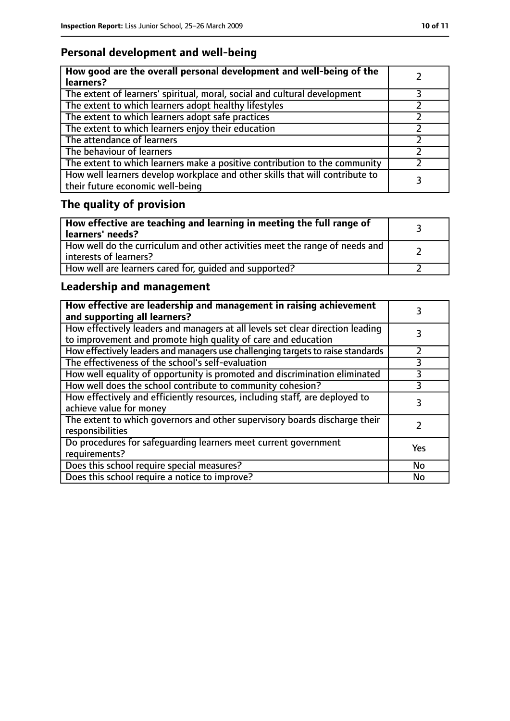### **Personal development and well-being**

| How good are the overall personal development and well-being of the<br>learners?                                 |   |
|------------------------------------------------------------------------------------------------------------------|---|
| The extent of learners' spiritual, moral, social and cultural development                                        | 3 |
| The extent to which learners adopt healthy lifestyles                                                            |   |
| The extent to which learners adopt safe practices                                                                |   |
| The extent to which learners enjoy their education                                                               |   |
| The attendance of learners                                                                                       |   |
| The behaviour of learners                                                                                        |   |
| The extent to which learners make a positive contribution to the community                                       |   |
| How well learners develop workplace and other skills that will contribute to<br>their future economic well-being |   |

### **The quality of provision**

| How effective are teaching and learning in meeting the full range of<br>learners' needs?                |  |
|---------------------------------------------------------------------------------------------------------|--|
| How well do the curriculum and other activities meet the range of needs and<br>  interests of learners? |  |
| How well are learners cared for, quided and supported?                                                  |  |

### **Leadership and management**

| How effective are leadership and management in raising achievement<br>and supporting all learners?                                              |           |
|-------------------------------------------------------------------------------------------------------------------------------------------------|-----------|
| How effectively leaders and managers at all levels set clear direction leading<br>to improvement and promote high quality of care and education |           |
| How effectively leaders and managers use challenging targets to raise standards                                                                 | 7         |
| The effectiveness of the school's self-evaluation                                                                                               | 3         |
| How well equality of opportunity is promoted and discrimination eliminated                                                                      | 3         |
| How well does the school contribute to community cohesion?                                                                                      | 3         |
| How effectively and efficiently resources, including staff, are deployed to<br>achieve value for money                                          | 3         |
| The extent to which governors and other supervisory boards discharge their<br>responsibilities                                                  |           |
| Do procedures for safequarding learners meet current government<br>requirements?                                                                | Yes       |
| Does this school require special measures?                                                                                                      | <b>No</b> |
| Does this school require a notice to improve?                                                                                                   | No        |